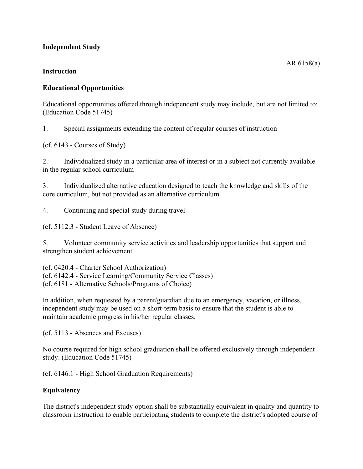# **Independent Study**

#### **Instruction**

#### **Educational Opportunities**

Educational opportunities offered through independent study may include, but are not limited to: (Education Code 51745)

1. Special assignments extending the content of regular courses of instruction

(cf. 6143 - Courses of Study)

2. Individualized study in a particular area of interest or in a subject not currently available in the regular school curriculum

3. Individualized alternative education designed to teach the knowledge and skills of the core curriculum, but not provided as an alternative curriculum

4. Continuing and special study during travel

(cf. 5112.3 - Student Leave of Absence)

5. Volunteer community service activities and leadership opportunities that support and strengthen student achievement

(cf. 0420.4 - Charter School Authorization) (cf. 6142.4 - Service Learning/Community Service Classes) (cf. 6181 - Alternative Schools/Programs of Choice)

In addition, when requested by a parent/guardian due to an emergency, vacation, or illness, independent study may be used on a short-term basis to ensure that the student is able to maintain academic progress in his/her regular classes.

(cf. 5113 - Absences and Excuses)

No course required for high school graduation shall be offered exclusively through independent study. (Education Code 51745)

(cf. 6146.1 - High School Graduation Requirements)

#### **Equivalency**

The district's independent study option shall be substantially equivalent in quality and quantity to classroom instruction to enable participating students to complete the district's adopted course of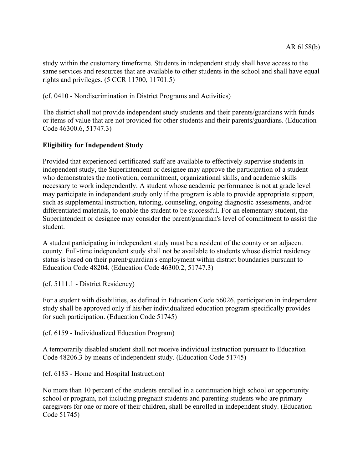study within the customary timeframe. Students in independent study shall have access to the same services and resources that are available to other students in the school and shall have equal rights and privileges. (5 CCR 11700, 11701.5)

(cf. 0410 - Nondiscrimination in District Programs and Activities)

The district shall not provide independent study students and their parents/guardians with funds or items of value that are not provided for other students and their parents/guardians. (Education Code 46300.6, 51747.3)

# **Eligibility for Independent Study**

Provided that experienced certificated staff are available to effectively supervise students in independent study, the Superintendent or designee may approve the participation of a student who demonstrates the motivation, commitment, organizational skills, and academic skills necessary to work independently. A student whose academic performance is not at grade level may participate in independent study only if the program is able to provide appropriate support, such as supplemental instruction, tutoring, counseling, ongoing diagnostic assessments, and/or differentiated materials, to enable the student to be successful. For an elementary student, the Superintendent or designee may consider the parent/guardian's level of commitment to assist the student.

A student participating in independent study must be a resident of the county or an adjacent county. Full-time independent study shall not be available to students whose district residency status is based on their parent/guardian's employment within district boundaries pursuant to Education Code 48204. (Education Code 46300.2, 51747.3)

(cf. 5111.1 - District Residency)

For a student with disabilities, as defined in Education Code 56026, participation in independent study shall be approved only if his/her individualized education program specifically provides for such participation. (Education Code 51745)

(cf. 6159 - Individualized Education Program)

A temporarily disabled student shall not receive individual instruction pursuant to Education Code 48206.3 by means of independent study. (Education Code 51745)

(cf. 6183 - Home and Hospital Instruction)

No more than 10 percent of the students enrolled in a continuation high school or opportunity school or program, not including pregnant students and parenting students who are primary caregivers for one or more of their children, shall be enrolled in independent study. (Education Code 51745)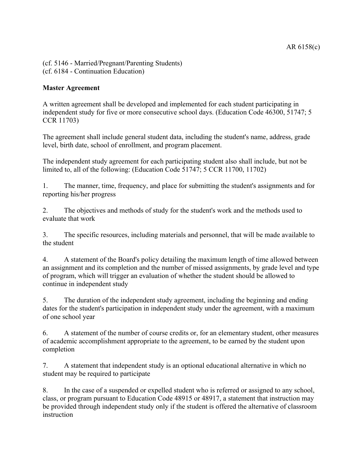(cf. 5146 - Married/Pregnant/Parenting Students) (cf. 6184 - Continuation Education)

# **Master Agreement**

A written agreement shall be developed and implemented for each student participating in independent study for five or more consecutive school days. (Education Code 46300, 51747; 5 CCR 11703)

The agreement shall include general student data, including the student's name, address, grade level, birth date, school of enrollment, and program placement.

The independent study agreement for each participating student also shall include, but not be limited to, all of the following: (Education Code 51747; 5 CCR 11700, 11702)

1. The manner, time, frequency, and place for submitting the student's assignments and for reporting his/her progress

2. The objectives and methods of study for the student's work and the methods used to evaluate that work

3. The specific resources, including materials and personnel, that will be made available to the student

4. A statement of the Board's policy detailing the maximum length of time allowed between an assignment and its completion and the number of missed assignments, by grade level and type of program, which will trigger an evaluation of whether the student should be allowed to continue in independent study

5. The duration of the independent study agreement, including the beginning and ending dates for the student's participation in independent study under the agreement, with a maximum of one school year

6. A statement of the number of course credits or, for an elementary student, other measures of academic accomplishment appropriate to the agreement, to be earned by the student upon completion

7. A statement that independent study is an optional educational alternative in which no student may be required to participate

8. In the case of a suspended or expelled student who is referred or assigned to any school, class, or program pursuant to Education Code 48915 or 48917, a statement that instruction may be provided through independent study only if the student is offered the alternative of classroom instruction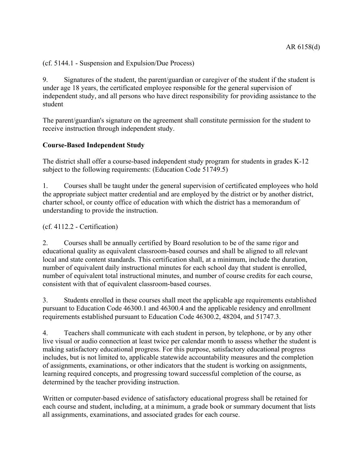(cf. 5144.1 - Suspension and Expulsion/Due Process)

9. Signatures of the student, the parent/guardian or caregiver of the student if the student is under age 18 years, the certificated employee responsible for the general supervision of independent study, and all persons who have direct responsibility for providing assistance to the student

The parent/guardian's signature on the agreement shall constitute permission for the student to receive instruction through independent study.

# **Course-Based Independent Study**

The district shall offer a course-based independent study program for students in grades K-12 subject to the following requirements: (Education Code 51749.5)

1. Courses shall be taught under the general supervision of certificated employees who hold the appropriate subject matter credential and are employed by the district or by another district, charter school, or county office of education with which the district has a memorandum of understanding to provide the instruction.

(cf. 4112.2 - Certification)

2. Courses shall be annually certified by Board resolution to be of the same rigor and educational quality as equivalent classroom-based courses and shall be aligned to all relevant local and state content standards. This certification shall, at a minimum, include the duration, number of equivalent daily instructional minutes for each school day that student is enrolled, number of equivalent total instructional minutes, and number of course credits for each course, consistent with that of equivalent classroom-based courses.

3. Students enrolled in these courses shall meet the applicable age requirements established pursuant to Education Code 46300.1 and 46300.4 and the applicable residency and enrollment requirements established pursuant to Education Code 46300.2, 48204, and 51747.3.

4. Teachers shall communicate with each student in person, by telephone, or by any other live visual or audio connection at least twice per calendar month to assess whether the student is making satisfactory educational progress. For this purpose, satisfactory educational progress includes, but is not limited to, applicable statewide accountability measures and the completion of assignments, examinations, or other indicators that the student is working on assignments, learning required concepts, and progressing toward successful completion of the course, as determined by the teacher providing instruction.

Written or computer-based evidence of satisfactory educational progress shall be retained for each course and student, including, at a minimum, a grade book or summary document that lists all assignments, examinations, and associated grades for each course.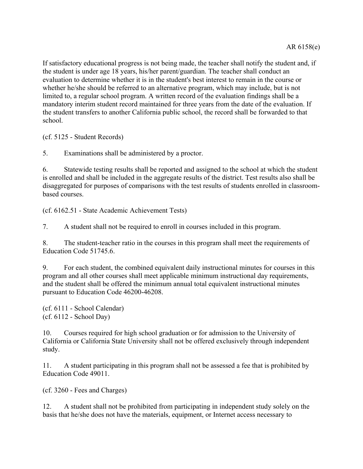If satisfactory educational progress is not being made, the teacher shall notify the student and, if the student is under age 18 years, his/her parent/guardian. The teacher shall conduct an evaluation to determine whether it is in the student's best interest to remain in the course or whether he/she should be referred to an alternative program, which may include, but is not limited to, a regular school program. A written record of the evaluation findings shall be a mandatory interim student record maintained for three years from the date of the evaluation. If the student transfers to another California public school, the record shall be forwarded to that school.

(cf. 5125 - Student Records)

5. Examinations shall be administered by a proctor.

6. Statewide testing results shall be reported and assigned to the school at which the student is enrolled and shall be included in the aggregate results of the district. Test results also shall be disaggregated for purposes of comparisons with the test results of students enrolled in classroombased courses.

(cf. 6162.51 - State Academic Achievement Tests)

7. A student shall not be required to enroll in courses included in this program.

8. The student-teacher ratio in the courses in this program shall meet the requirements of Education Code 51745.6.

9. For each student, the combined equivalent daily instructional minutes for courses in this program and all other courses shall meet applicable minimum instructional day requirements, and the student shall be offered the minimum annual total equivalent instructional minutes pursuant to Education Code 46200-46208.

(cf. 6111 - School Calendar) (cf. 6112 - School Day)

10. Courses required for high school graduation or for admission to the University of California or California State University shall not be offered exclusively through independent study.

11. A student participating in this program shall not be assessed a fee that is prohibited by Education Code 49011.

(cf. 3260 - Fees and Charges)

12. A student shall not be prohibited from participating in independent study solely on the basis that he/she does not have the materials, equipment, or Internet access necessary to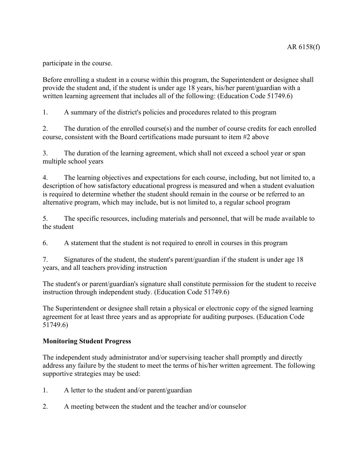participate in the course.

Before enrolling a student in a course within this program, the Superintendent or designee shall provide the student and, if the student is under age 18 years, his/her parent/guardian with a written learning agreement that includes all of the following: (Education Code 51749.6)

1. A summary of the district's policies and procedures related to this program

2. The duration of the enrolled course(s) and the number of course credits for each enrolled course, consistent with the Board certifications made pursuant to item #2 above

3. The duration of the learning agreement, which shall not exceed a school year or span multiple school years

4. The learning objectives and expectations for each course, including, but not limited to, a description of how satisfactory educational progress is measured and when a student evaluation is required to determine whether the student should remain in the course or be referred to an alternative program, which may include, but is not limited to, a regular school program

5. The specific resources, including materials and personnel, that will be made available to the student

6. A statement that the student is not required to enroll in courses in this program

7. Signatures of the student, the student's parent/guardian if the student is under age 18 years, and all teachers providing instruction

The student's or parent/guardian's signature shall constitute permission for the student to receive instruction through independent study. (Education Code 51749.6)

The Superintendent or designee shall retain a physical or electronic copy of the signed learning agreement for at least three years and as appropriate for auditing purposes. (Education Code 51749.6)

# **Monitoring Student Progress**

The independent study administrator and/or supervising teacher shall promptly and directly address any failure by the student to meet the terms of his/her written agreement. The following supportive strategies may be used:

- 1. A letter to the student and/or parent/guardian
- 2. A meeting between the student and the teacher and/or counselor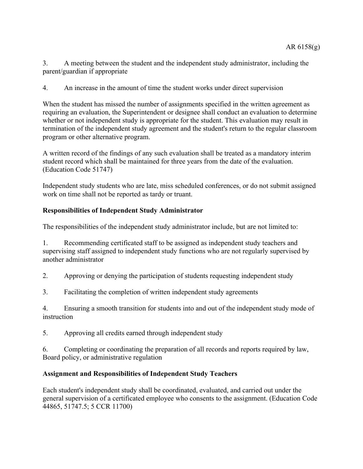3. A meeting between the student and the independent study administrator, including the parent/guardian if appropriate

4. An increase in the amount of time the student works under direct supervision

When the student has missed the number of assignments specified in the written agreement as requiring an evaluation, the Superintendent or designee shall conduct an evaluation to determine whether or not independent study is appropriate for the student. This evaluation may result in termination of the independent study agreement and the student's return to the regular classroom program or other alternative program.

A written record of the findings of any such evaluation shall be treated as a mandatory interim student record which shall be maintained for three years from the date of the evaluation. (Education Code 51747)

Independent study students who are late, miss scheduled conferences, or do not submit assigned work on time shall not be reported as tardy or truant.

#### **Responsibilities of Independent Study Administrator**

The responsibilities of the independent study administrator include, but are not limited to:

1. Recommending certificated staff to be assigned as independent study teachers and supervising staff assigned to independent study functions who are not regularly supervised by another administrator

2. Approving or denying the participation of students requesting independent study

3. Facilitating the completion of written independent study agreements

4. Ensuring a smooth transition for students into and out of the independent study mode of instruction

5. Approving all credits earned through independent study

6. Completing or coordinating the preparation of all records and reports required by law, Board policy, or administrative regulation

#### **Assignment and Responsibilities of Independent Study Teachers**

Each student's independent study shall be coordinated, evaluated, and carried out under the general supervision of a certificated employee who consents to the assignment. (Education Code 44865, 51747.5; 5 CCR 11700)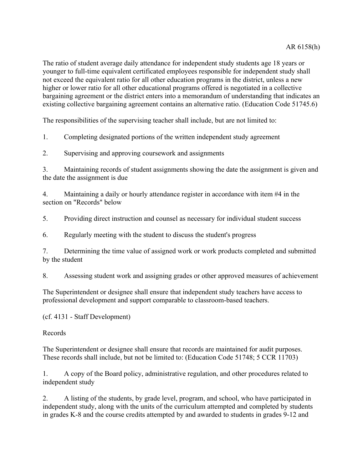The ratio of student average daily attendance for independent study students age 18 years or younger to full-time equivalent certificated employees responsible for independent study shall not exceed the equivalent ratio for all other education programs in the district, unless a new higher or lower ratio for all other educational programs offered is negotiated in a collective bargaining agreement or the district enters into a memorandum of understanding that indicates an existing collective bargaining agreement contains an alternative ratio. (Education Code 51745.6)

The responsibilities of the supervising teacher shall include, but are not limited to:

1. Completing designated portions of the written independent study agreement

2. Supervising and approving coursework and assignments

3. Maintaining records of student assignments showing the date the assignment is given and the date the assignment is due

4. Maintaining a daily or hourly attendance register in accordance with item #4 in the section on "Records" below

5. Providing direct instruction and counsel as necessary for individual student success

6. Regularly meeting with the student to discuss the student's progress

7. Determining the time value of assigned work or work products completed and submitted by the student

8. Assessing student work and assigning grades or other approved measures of achievement

The Superintendent or designee shall ensure that independent study teachers have access to professional development and support comparable to classroom-based teachers.

(cf. 4131 - Staff Development)

Records

The Superintendent or designee shall ensure that records are maintained for audit purposes. These records shall include, but not be limited to: (Education Code 51748; 5 CCR 11703)

1. A copy of the Board policy, administrative regulation, and other procedures related to independent study

2. A listing of the students, by grade level, program, and school, who have participated in independent study, along with the units of the curriculum attempted and completed by students in grades K-8 and the course credits attempted by and awarded to students in grades 9-12 and